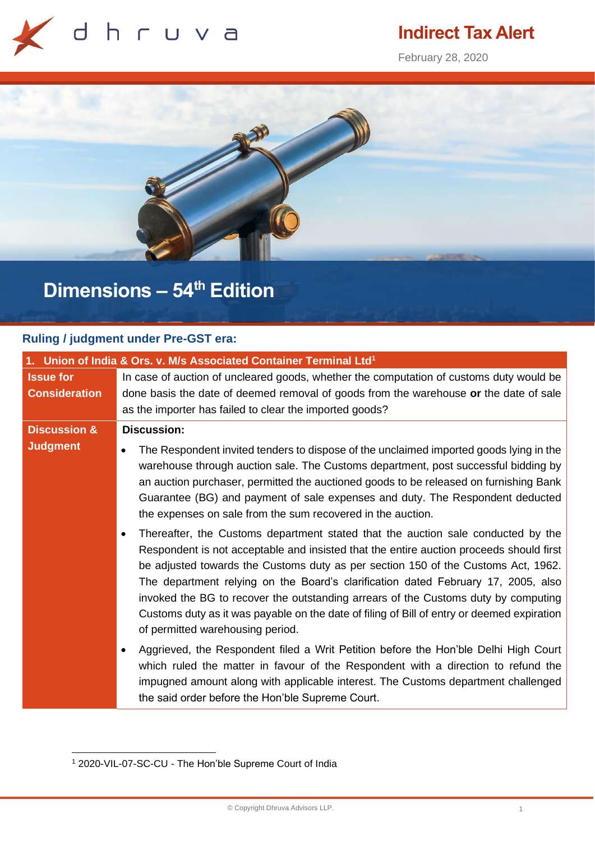

## **Indirect Tax Alert**

February 28, 2020



# **Dimensions – 54 th Edition**

## **Ruling / judgment under Pre-GST era:**

| 1. Union of India & Ors. v. M/s Associated Container Terminal Ltd <sup>1</sup> |                                                                                                                                                                                                                                                                                                                                                                                                                                                                                                                                                                               |
|--------------------------------------------------------------------------------|-------------------------------------------------------------------------------------------------------------------------------------------------------------------------------------------------------------------------------------------------------------------------------------------------------------------------------------------------------------------------------------------------------------------------------------------------------------------------------------------------------------------------------------------------------------------------------|
| <b>Issue for</b><br><b>Consideration</b>                                       | In case of auction of uncleared goods, whether the computation of customs duty would be                                                                                                                                                                                                                                                                                                                                                                                                                                                                                       |
|                                                                                | done basis the date of deemed removal of goods from the warehouse or the date of sale<br>as the importer has failed to clear the imported goods?                                                                                                                                                                                                                                                                                                                                                                                                                              |
| <b>Discussion &amp;</b>                                                        | <b>Discussion:</b>                                                                                                                                                                                                                                                                                                                                                                                                                                                                                                                                                            |
| <b>Judgment</b>                                                                | The Respondent invited tenders to dispose of the unclaimed imported goods lying in the<br>warehouse through auction sale. The Customs department, post successful bidding by<br>an auction purchaser, permitted the auctioned goods to be released on furnishing Bank<br>Guarantee (BG) and payment of sale expenses and duty. The Respondent deducted<br>the expenses on sale from the sum recovered in the auction.                                                                                                                                                         |
|                                                                                | Thereafter, the Customs department stated that the auction sale conducted by the<br>Respondent is not acceptable and insisted that the entire auction proceeds should first<br>be adjusted towards the Customs duty as per section 150 of the Customs Act, 1962.<br>The department relying on the Board's clarification dated February 17, 2005, also<br>invoked the BG to recover the outstanding arrears of the Customs duty by computing<br>Customs duty as it was payable on the date of filing of Bill of entry or deemed expiration<br>of permitted warehousing period. |
|                                                                                | Aggrieved, the Respondent filed a Writ Petition before the Hon'ble Delhi High Court<br>which ruled the matter in favour of the Respondent with a direction to refund the<br>impugned amount along with applicable interest. The Customs department challenged<br>the said order before the Hon'ble Supreme Court.                                                                                                                                                                                                                                                             |

<sup>1</sup> 2020-VIL-07-SC-CU - The Hon'ble Supreme Court of India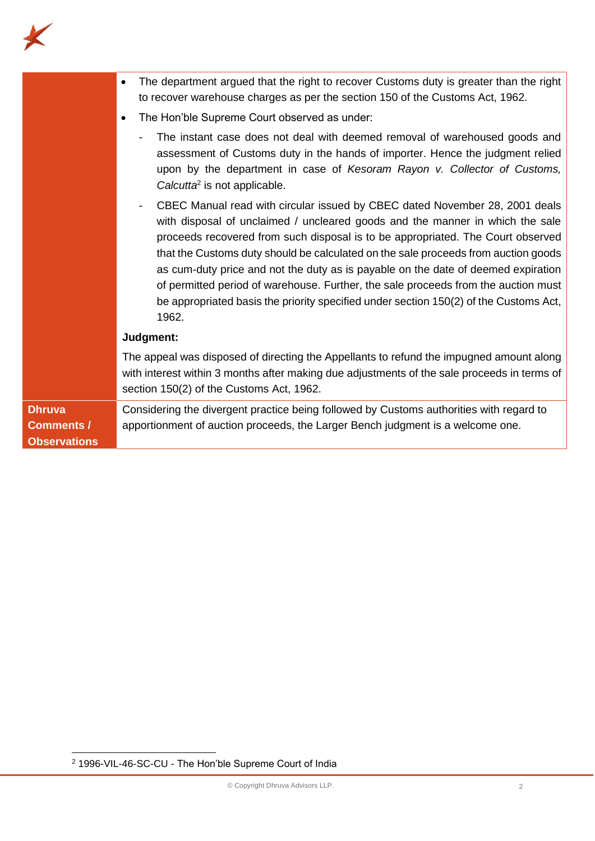

|                                                           | The department argued that the right to recover Customs duty is greater than the right<br>$\bullet$<br>to recover warehouse charges as per the section 150 of the Customs Act, 1962.                                                                                                                                                                                                                                                                                                                                                                                                                               |
|-----------------------------------------------------------|--------------------------------------------------------------------------------------------------------------------------------------------------------------------------------------------------------------------------------------------------------------------------------------------------------------------------------------------------------------------------------------------------------------------------------------------------------------------------------------------------------------------------------------------------------------------------------------------------------------------|
|                                                           | The Hon'ble Supreme Court observed as under:<br>$\bullet$                                                                                                                                                                                                                                                                                                                                                                                                                                                                                                                                                          |
|                                                           | The instant case does not deal with deemed removal of warehoused goods and<br>assessment of Customs duty in the hands of importer. Hence the judgment relied<br>upon by the department in case of Kesoram Rayon v. Collector of Customs,<br>Calcutta <sup>2</sup> is not applicable.                                                                                                                                                                                                                                                                                                                               |
|                                                           | CBEC Manual read with circular issued by CBEC dated November 28, 2001 deals<br>with disposal of unclaimed / uncleared goods and the manner in which the sale<br>proceeds recovered from such disposal is to be appropriated. The Court observed<br>that the Customs duty should be calculated on the sale proceeds from auction goods<br>as cum-duty price and not the duty as is payable on the date of deemed expiration<br>of permitted period of warehouse. Further, the sale proceeds from the auction must<br>be appropriated basis the priority specified under section 150(2) of the Customs Act,<br>1962. |
|                                                           | Judgment:                                                                                                                                                                                                                                                                                                                                                                                                                                                                                                                                                                                                          |
|                                                           | The appeal was disposed of directing the Appellants to refund the impugned amount along<br>with interest within 3 months after making due adjustments of the sale proceeds in terms of<br>section 150(2) of the Customs Act, 1962.                                                                                                                                                                                                                                                                                                                                                                                 |
| <b>Dhruva</b><br><b>Comments /</b><br><b>Observations</b> | Considering the divergent practice being followed by Customs authorities with regard to<br>apportionment of auction proceeds, the Larger Bench judgment is a welcome one.                                                                                                                                                                                                                                                                                                                                                                                                                                          |